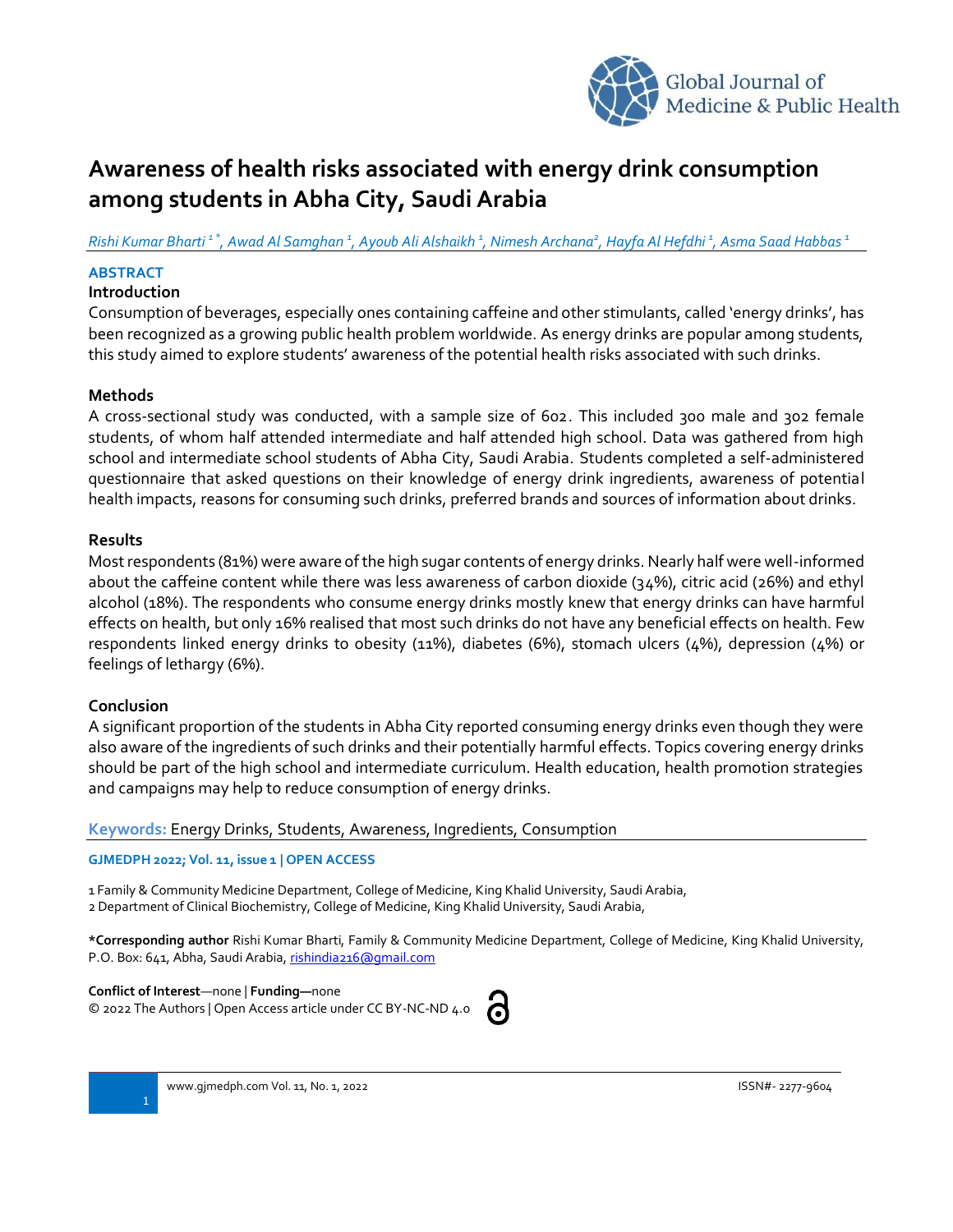

# **Awareness of health risks associated with energy drink consumption among students in Abha City, Saudi Arabia**

*Rishi Kumar Bharti 1 \*, Awad Al Samghan <sup>1</sup> , Ayoub Ali Alshaikh <sup>1</sup> , Nimesh Archana<sup>2</sup> , Hayfa Al Hefdhi <sup>1</sup> , Asma Saad Habbas <sup>1</sup>*

## **ABSTRACT**

## **Introduction**

Consumption of beverages, especially ones containing caffeine and other stimulants, called 'energy drinks', has been recognized as a growing public health problem worldwide. As energy drinks are popular among students, this study aimed to explore students' awareness of the potential health risks associated with such drinks.

## **Methods**

A cross-sectional study was conducted, with a sample size of 602. This included 300 male and 302 female students, of whom half attended intermediate and half attended high school. Data was gathered from high school and intermediate school students of Abha City, Saudi Arabia. Students completed a self-administered questionnaire that asked questions on their knowledge of energy drink ingredients, awareness of potential health impacts, reasons for consuming such drinks, preferred brands and sources of information about drinks.

### **Results**

Mostrespondents (81%) were aware of the high sugar contents of energy drinks. Nearly half were well-informed about the caffeine content while there was less awareness of carbon dioxide (34%), citric acid (26%) and ethyl alcohol (18%). The respondents who consume energy drinks mostly knew that energy drinks can have harmful effects on health, but only 16% realised that most such drinks do not have any beneficial effects on health. Few respondents linked energy drinks to obesity (11%), diabetes (6%), stomach ulcers (4%), depression (4%) or feelings of lethargy (6%).

## **Conclusion**

A significant proportion of the students in Abha City reported consuming energy drinks even though they were also aware of the ingredients of such drinks and their potentially harmful effects. Topics covering energy drinks should be part of the high school and intermediate curriculum. Health education, health promotion strategies and campaigns may help to reduce consumption of energy drinks.

### **Keywords:** Energy Drinks, Students, Awareness, Ingredients, Consumption

#### **GJMEDPH 2022; Vol. 11, issue 1 | OPEN ACCESS**

1 Family & Community Medicine Department, College of Medicine, King Khalid University, Saudi Arabia,

2 Department of Clinical Biochemistry, College of Medicine, King Khalid University, Saudi Arabia,

**\*Corresponding author** Rishi Kumar Bharti, Family & Community Medicine Department, College of Medicine, King Khalid University, P.O. Box: 641, Abha, Saudi Arabia[, rishindia216@gmail.com](mailto:rishindia216@gmail.com)

**Conflict of Interest**—none | **Funding—**none © 2022 The Authors | Open Access article under CC BY-NC-ND 4.0

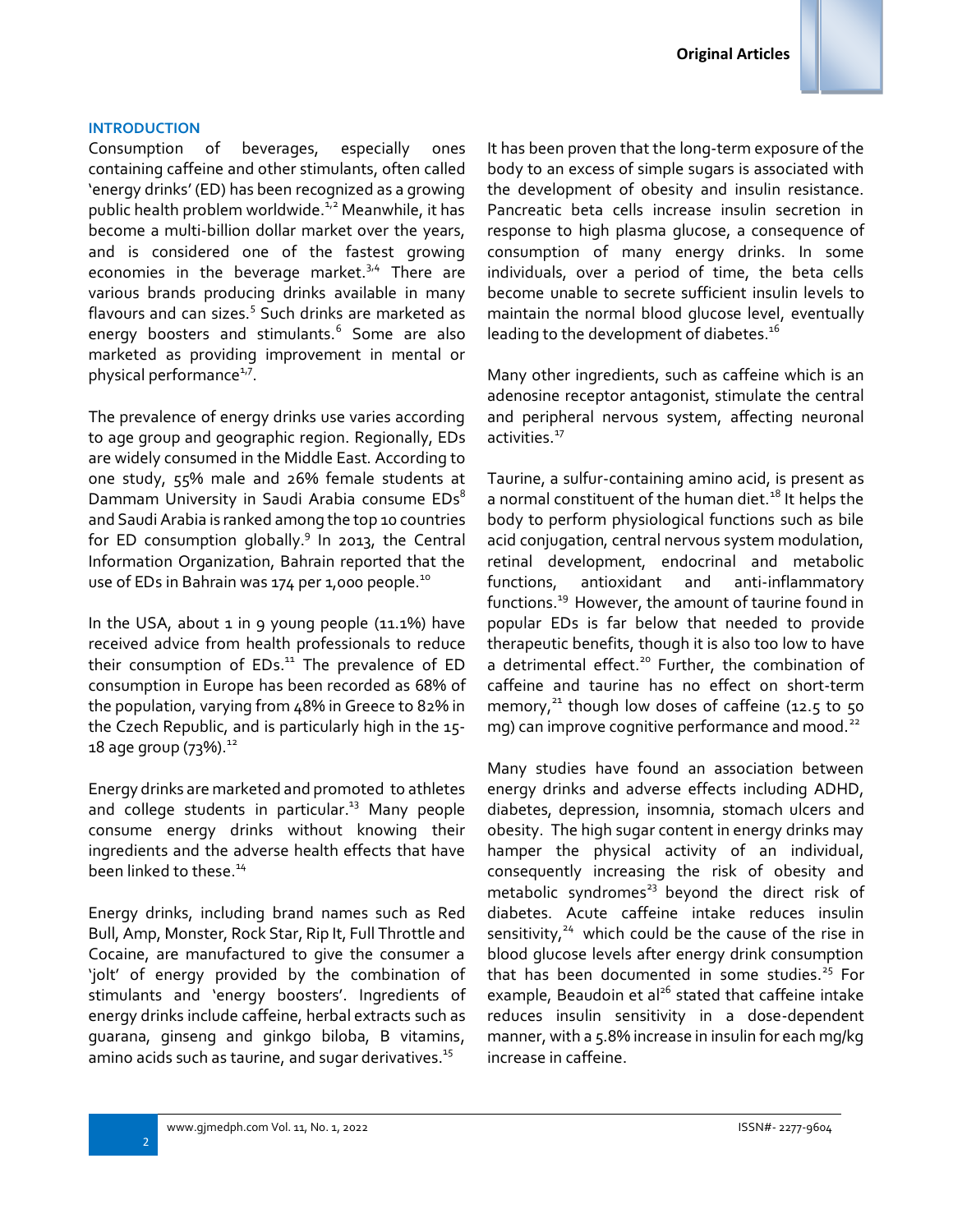

Consumption of beverages, especially ones containing caffeine and other stimulants, often called 'energy drinks' (ED) has been recognized as a growing public health problem worldwide. $1/2$  Meanwhile, it has become a multi-billion dollar market over the years, and is considered one of the fastest growing economies in the beverage market. $3/4$  There are various brands producing drinks available in many flavours and can sizes.<sup>5</sup> Such drinks are marketed as energy boosters and stimulants.<sup>6</sup> Some are also marketed as providing improvement in mental or physical performance<sup>1,7</sup>.

The prevalence of energy drinks use varies according to age group and geographic region. Regionally, EDs are widely consumed in the Middle East. According to one study, 55% male and 26% female students at Dammam University in Saudi Arabia consume EDs<sup>8</sup> and Saudi Arabia is ranked among the top 10 countries for ED consumption globally.<sup>9</sup> In 2013, the Central Information Organization, Bahrain reported that the use of EDs in Bahrain was 174 per 1,000 people.<sup>10</sup>

In the USA, about 1 in 9 young people (11.1%) have received advice from health professionals to reduce their consumption of EDs.<sup>11</sup> The prevalence of ED consumption in Europe has been recorded as 68% of the population, varying from 48% in Greece to 82% in the Czech Republic, and is particularly high in the 15- 18 age group (73%).  $^{12}$ 

Energy drinks are marketed and promoted to athletes and college students in particular.<sup>13</sup> Many people consume energy drinks without knowing their ingredients and the adverse health effects that have been linked to these.<sup>14</sup>

Energy drinks, including brand names such as Red Bull, Amp, Monster, Rock Star, Rip It, Full Throttle and Cocaine, are manufactured to give the consumer a 'jolt' of energy provided by the combination of stimulants and 'energy boosters'. Ingredients of energy drinks include caffeine, herbal extracts such as guarana, ginseng and ginkgo biloba, B vitamins, amino acids such as taurine, and sugar derivatives. $15$ 

It has been proven that the long-term exposure of the body to an excess of simple sugars is associated with the development of obesity and insulin resistance. Pancreatic beta cells increase insulin secretion in response to high plasma glucose, a consequence of consumption of many energy drinks. In some individuals, over a period of time, the beta cells become unable to secrete sufficient insulin levels to maintain the normal blood glucose level, eventually leading to the development of diabetes. $^{16}$ 

Many other ingredients, such as caffeine which is an adenosine receptor antagonist, stimulate the central and peripheral nervous system, affecting neuronal activities.<sup>17</sup>

Taurine, a sulfur-containing amino acid, is present as a normal constituent of the human diet.<sup>18</sup> It helps the body to perform physiological functions such as bile acid conjugation, central nervous system modulation, retinal development, endocrinal and metabolic functions, antioxidant and anti-inflammatory functions.<sup>19</sup> However, the amount of taurine found in popular EDs is far below that needed to provide therapeutic benefits, though it is also too low to have a detrimental effect.<sup>20</sup> Further, the combination of caffeine and taurine has no effect on short-term memory, $^{21}$  though low doses of caffeine (12.5 to 50 mg) can improve cognitive performance and mood.<sup>22</sup>

Many studies have found an association between energy drinks and adverse effects including ADHD, diabetes, depression, insomnia, stomach ulcers and obesity. The high sugar content in energy drinks may hamper the physical activity of an individual, consequently increasing the risk of obesity and metabolic syndromes<sup>23</sup> beyond the direct risk of diabetes. Acute caffeine intake reduces insulin sensitivity,  $24$  which could be the cause of the rise in blood glucose levels after energy drink consumption that has been documented in some studies. $25$  For example, Beaudoin et al<sup>26</sup> stated that caffeine intake reduces insulin sensitivity in a dose-dependent manner, with a 5.8% increase in insulin for each mg/kg increase in caffeine.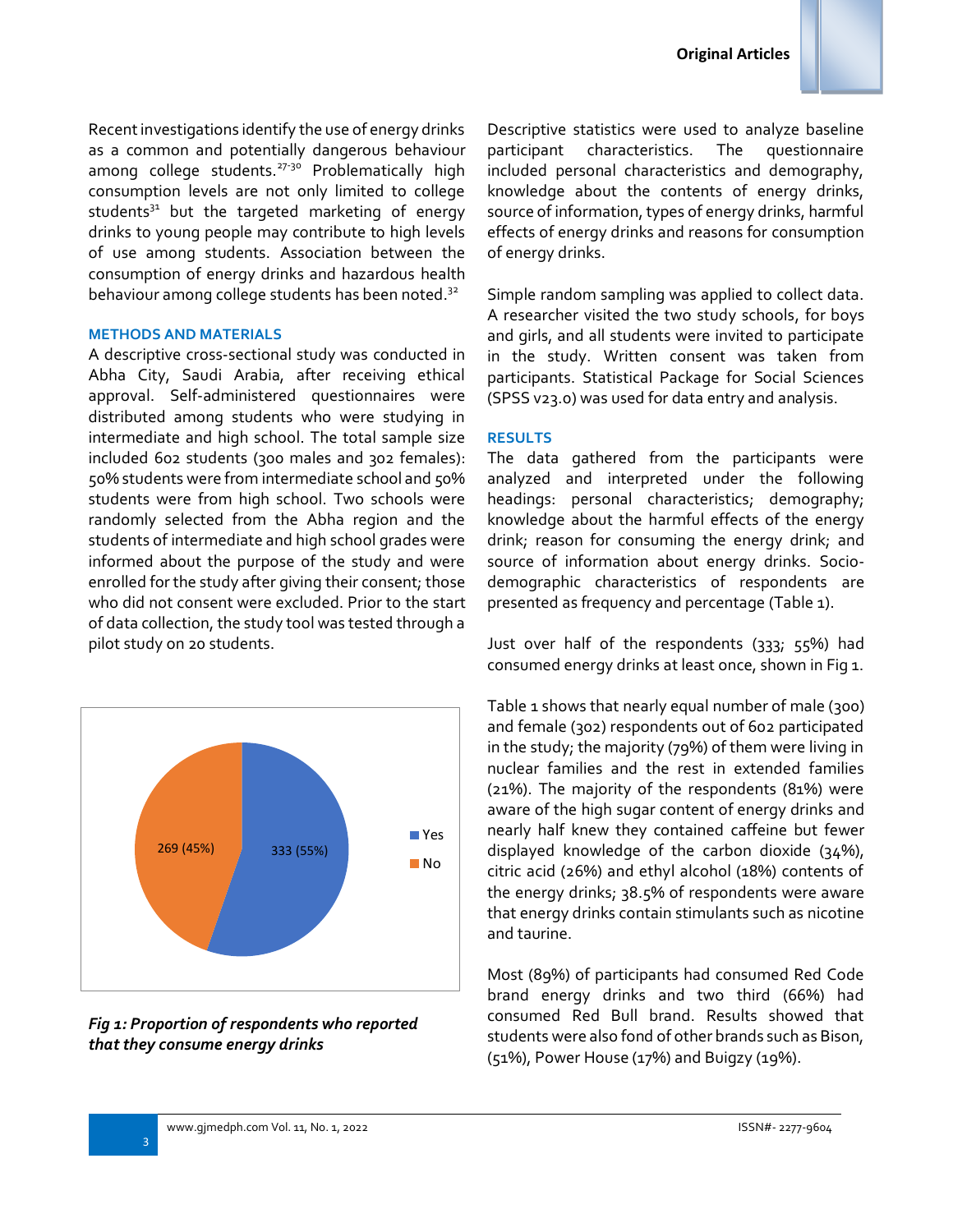

Recent investigations identify the use of energy drinks as a common and potentially dangerous behaviour among college students.<sup>27-30</sup> Problematically high consumption levels are not only limited to college students $31$  but the targeted marketing of energy drinks to young people may contribute to high levels of use among students. Association between the consumption of energy drinks and hazardous health behaviour among college students has been noted.<sup>32</sup>

#### **METHODS AND MATERIALS**

A descriptive cross-sectional study was conducted in Abha City, Saudi Arabia, after receiving ethical approval. Self-administered questionnaires were distributed among students who were studying in intermediate and high school. The total sample size included 602 students (300 males and 302 females): 50% students were from intermediate school and 50% students were from high school. Two schools were randomly selected from the Abha region and the students of intermediate and high school grades were informed about the purpose of the study and were enrolled for the study after giving their consent; those who did not consent were excluded. Prior to the start of data collection, the study tool was tested through a pilot study on 20 students.



*Fig 1: Proportion of respondents who reported that they consume energy drinks*

Descriptive statistics were used to analyze baseline participant characteristics. The questionnaire included personal characteristics and demography, knowledge about the contents of energy drinks, source of information, types of energy drinks, harmful effects of energy drinks and reasons for consumption of energy drinks.

Simple random sampling was applied to collect data. A researcher visited the two study schools, for boys and girls, and all students were invited to participate in the study. Written consent was taken from participants. Statistical Package for Social Sciences (SPSS v23.0) was used for data entry and analysis.

### **RESULTS**

The data gathered from the participants were analyzed and interpreted under the following headings: personal characteristics; demography; knowledge about the harmful effects of the energy drink; reason for consuming the energy drink; and source of information about energy drinks. Sociodemographic characteristics of respondents are presented as frequency and percentage (Table 1).

Just over half of the respondents (333; 55%) had consumed energy drinks at least once, shown in Fig 1.

Table 1 shows that nearly equal number of male (300) and female (302) respondents out of 602 participated in the study; the majority (79%) of them were living in nuclear families and the rest in extended families (21%). The majority of the respondents (81%) were aware of the high sugar content of energy drinks and nearly half knew they contained caffeine but fewer displayed knowledge of the carbon dioxide (34%), citric acid (26%) and ethyl alcohol (18%) contents of the energy drinks; 38.5% of respondents were aware that energy drinks contain stimulants such as nicotine and taurine.

Most (89%) of participants had consumed Red Code brand energy drinks and two third (66%) had consumed Red Bull brand. Results showed that students were also fond of other brands such as Bison, (51%), Power House (17%) and Buigzy (19%).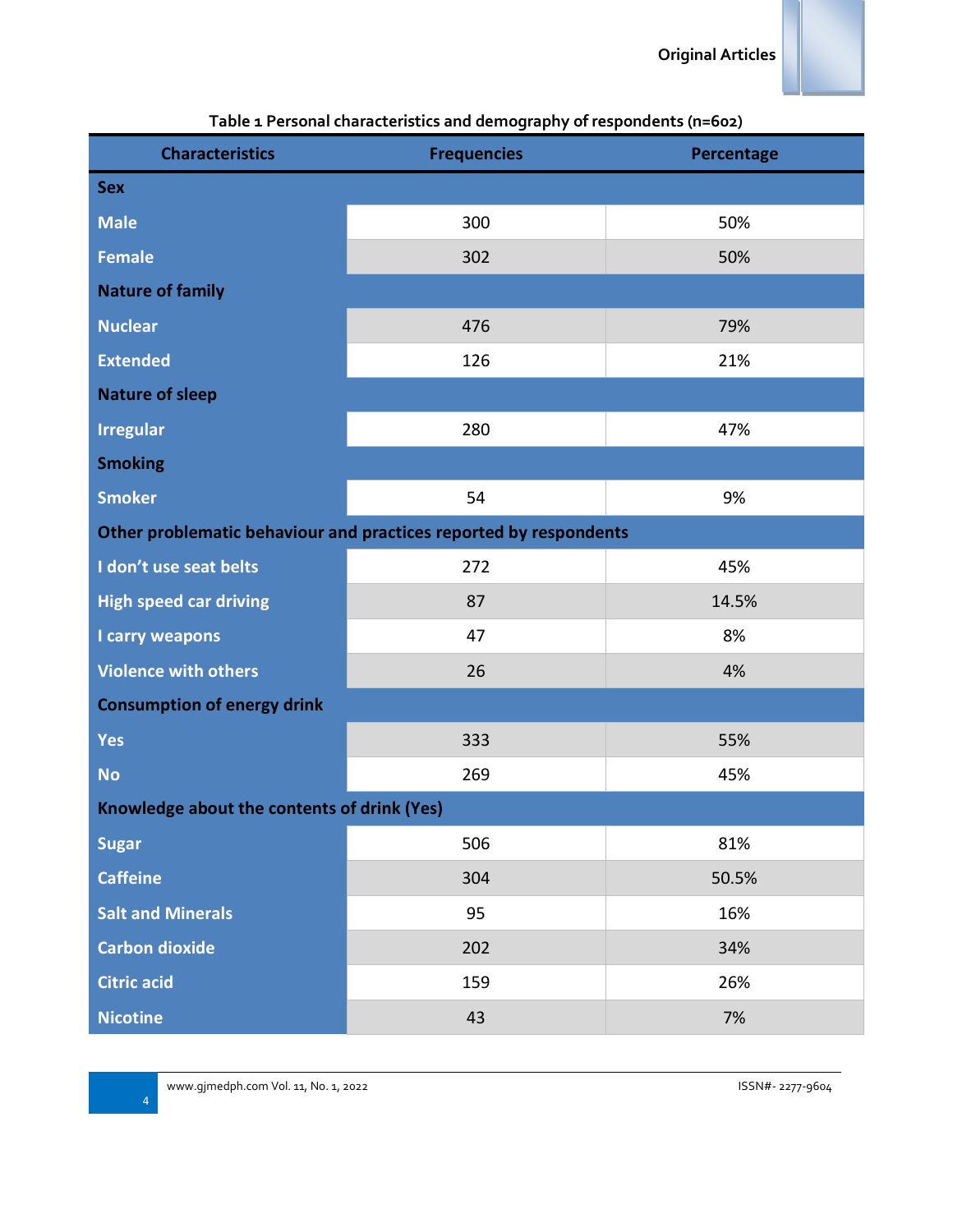| <b>Characteristics</b>                      | <b>Frequencies</b>                                                | Percentage |  |  |  |
|---------------------------------------------|-------------------------------------------------------------------|------------|--|--|--|
| <b>Sex</b>                                  |                                                                   |            |  |  |  |
| <b>Male</b>                                 | 300                                                               | 50%        |  |  |  |
| <b>Female</b>                               | 302                                                               | 50%        |  |  |  |
| <b>Nature of family</b>                     |                                                                   |            |  |  |  |
| <b>Nuclear</b>                              | 476                                                               | 79%        |  |  |  |
| <b>Extended</b>                             | 126                                                               | 21%        |  |  |  |
| <b>Nature of sleep</b>                      |                                                                   |            |  |  |  |
| <b>Irregular</b>                            | 280                                                               | 47%        |  |  |  |
| <b>Smoking</b>                              |                                                                   |            |  |  |  |
| <b>Smoker</b>                               | 54                                                                | 9%         |  |  |  |
|                                             | Other problematic behaviour and practices reported by respondents |            |  |  |  |
| I don't use seat belts                      | 272                                                               | 45%        |  |  |  |
| <b>High speed car driving</b>               | 87                                                                | 14.5%      |  |  |  |
| I carry weapons                             | 47                                                                | 8%         |  |  |  |
| <b>Violence with others</b>                 | 26                                                                | 4%         |  |  |  |
| <b>Consumption of energy drink</b>          |                                                                   |            |  |  |  |
| <b>Yes</b>                                  | 333                                                               | 55%        |  |  |  |
| <b>No</b>                                   | 269                                                               | 45%        |  |  |  |
| Knowledge about the contents of drink (Yes) |                                                                   |            |  |  |  |
| <b>Sugar</b>                                | 506                                                               | 81%        |  |  |  |
| <b>Caffeine</b>                             | 304                                                               | 50.5%      |  |  |  |
| <b>Salt and Minerals</b>                    | 95                                                                | 16%        |  |  |  |
| <b>Carbon dioxide</b>                       | 202                                                               | 34%        |  |  |  |
| <b>Citric acid</b>                          | 159                                                               | 26%        |  |  |  |
| <b>Nicotine</b>                             | 43                                                                | 7%         |  |  |  |

# **Table 1 Personal characteristics and demography of respondents (n=602)**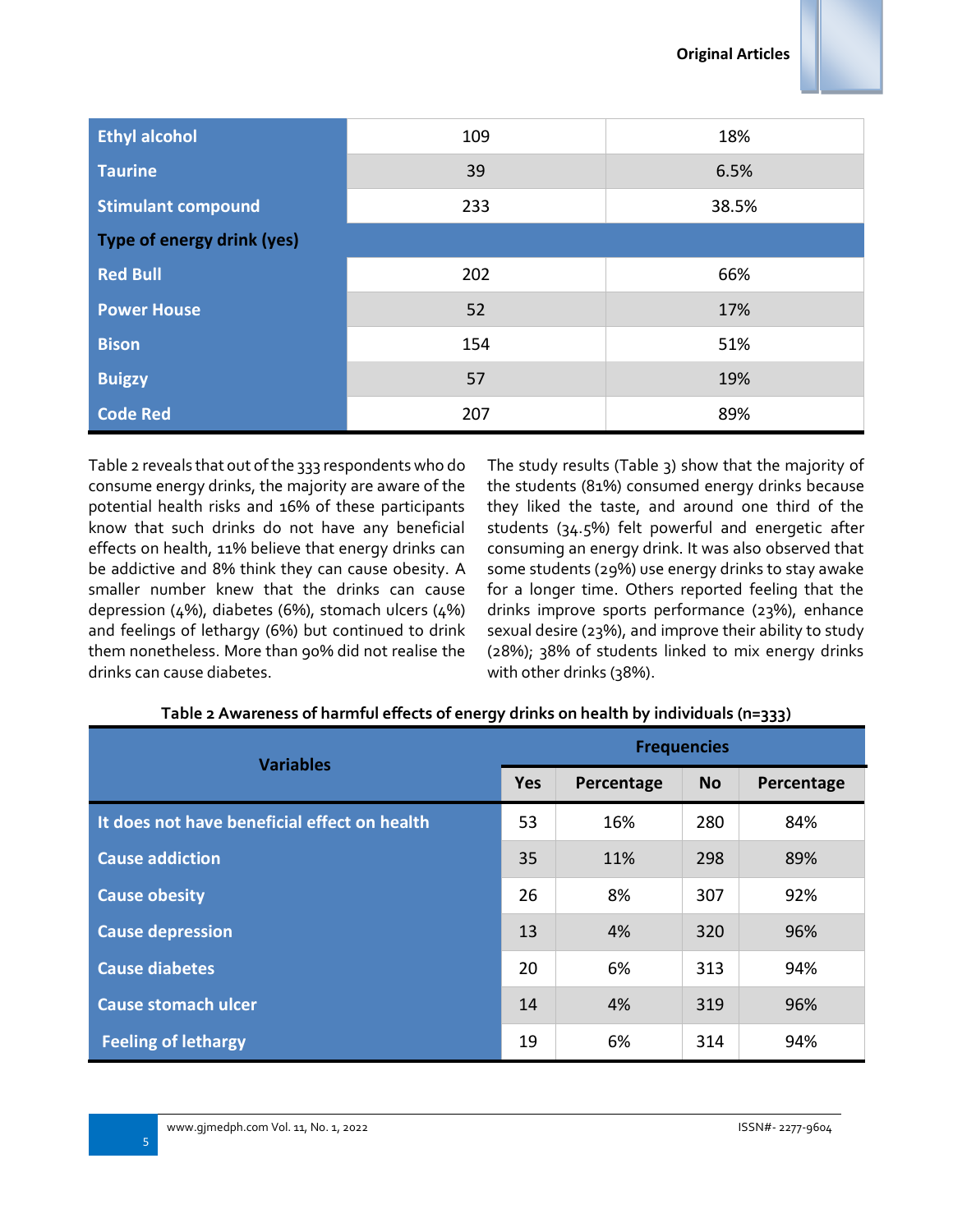

| <b>Ethyl alcohol</b>       | 109 | 18%   |  |  |
|----------------------------|-----|-------|--|--|
| <b>Taurine</b>             | 39  | 6.5%  |  |  |
| <b>Stimulant compound</b>  | 233 | 38.5% |  |  |
| Type of energy drink (yes) |     |       |  |  |
| <b>Red Bull</b>            | 202 | 66%   |  |  |
| <b>Power House</b>         | 52  | 17%   |  |  |
| <b>Bison</b>               | 154 | 51%   |  |  |
| <b>Buigzy</b>              | 57  | 19%   |  |  |
| <b>Code Red</b>            | 207 | 89%   |  |  |

Table 2 reveals that out of the 333 respondents who do consume energy drinks, the majority are aware of the potential health risks and 16% of these participants know that such drinks do not have any beneficial effects on health, 11% believe that energy drinks can be addictive and 8% think they can cause obesity. A smaller number knew that the drinks can cause depression (4%), diabetes (6%), stomach ulcers (4%) and feelings of lethargy (6%) but continued to drink them nonetheless. More than 90% did not realise the drinks can cause diabetes.

The study results (Table 3) show that the majority of the students (81%) consumed energy drinks because they liked the taste, and around one third of the students (34.5%) felt powerful and energetic after consuming an energy drink. It was also observed that some students (29%) use energy drinks to stay awake for a longer time. Others reported feeling that the drinks improve sports performance (23%), enhance sexual desire (23%), and improve their ability to study (28%); 38% of students linked to mix energy drinks with other drinks (38%).

| <b>Variables</b>                             |    | <b>Frequencies</b> |           |            |  |
|----------------------------------------------|----|--------------------|-----------|------------|--|
|                                              |    | Percentage         | <b>No</b> | Percentage |  |
| It does not have beneficial effect on health | 53 | 16%                | 280       | 84%        |  |
| <b>Cause addiction</b>                       | 35 | 11%                | 298       | 89%        |  |
| <b>Cause obesity</b>                         | 26 | 8%                 | 307       | 92%        |  |
| <b>Cause depression</b>                      | 13 | 4%                 | 320       | 96%        |  |
| <b>Cause diabetes</b>                        | 20 | 6%                 | 313       | 94%        |  |
| <b>Cause stomach ulcer</b>                   | 14 | 4%                 | 319       | 96%        |  |
| <b>Feeling of lethargy</b>                   | 19 | 6%                 | 314       | 94%        |  |

# **Table 2 Awareness of harmful effects of energy drinks on health by individuals (n=333)**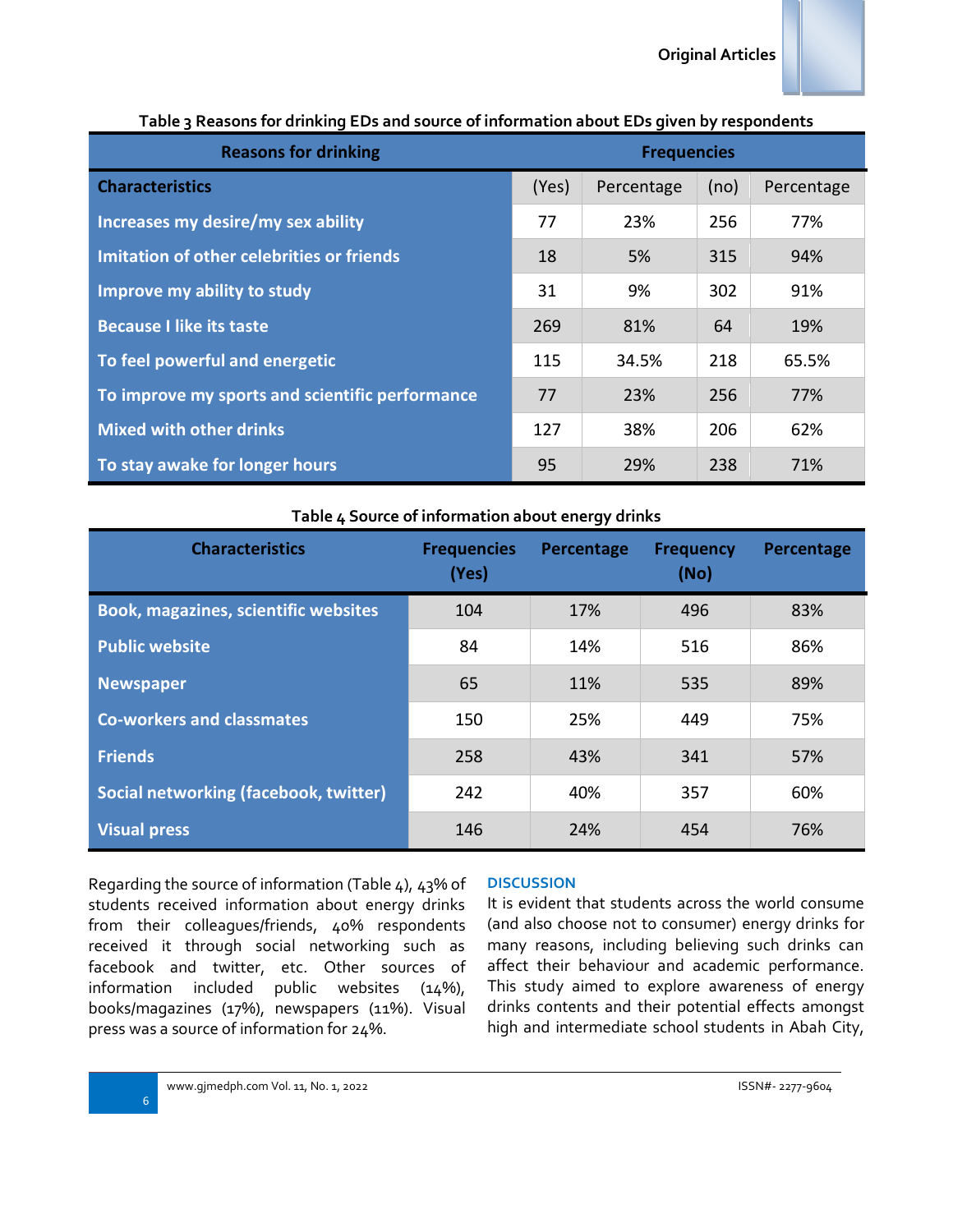| rapic 3 incasons for armining EDS and Sobrec or information about EDS given by respondents |                    |            |      |            |
|--------------------------------------------------------------------------------------------|--------------------|------------|------|------------|
| <b>Reasons for drinking</b>                                                                | <b>Frequencies</b> |            |      |            |
| <b>Characteristics</b>                                                                     | (Yes)              | Percentage | (no) | Percentage |
| Increases my desire/my sex ability                                                         |                    | 23%        | 256  | 77%        |
| Imitation of other celebrities or friends<br>Improve my ability to study                   |                    | 5%         | 315  | 94%        |
|                                                                                            |                    | 9%         | 302  | 91%        |
| <b>Because I like its taste</b>                                                            | 269                | 81%        | 64   | 19%        |
| To feel powerful and energetic<br>To improve my sports and scientific performance          |                    | 34.5%      | 218  | 65.5%      |
|                                                                                            |                    | 23%        | 256  | 77%        |
| <b>Mixed with other drinks</b>                                                             | 127                | 38%        | 206  | 62%        |
| To stay awake for longer hours                                                             | 95                 | 29%        | 238  | 71%        |

## **Table 3 Reasons for drinking EDs and source of information about EDs given by respondents**

#### **Table 4 Source of information about energy drinks**

| <b>Characteristics</b>                      | <b>Frequencies</b><br>(Yes) | Percentage | <b>Frequency</b><br>(No) | Percentage |
|---------------------------------------------|-----------------------------|------------|--------------------------|------------|
| <b>Book, magazines, scientific websites</b> | 104                         | 17%        | 496                      | 83%        |
| <b>Public website</b>                       | 84                          | 14%        | 516                      | 86%        |
| <b>Newspaper</b>                            | 65                          | 11%        | 535                      | 89%        |
| <b>Co-workers and classmates</b>            | 150                         | 25%        | 449                      | 75%        |
| <b>Friends</b>                              | 258                         | 43%        | 341                      | 57%        |
| Social networking (facebook, twitter)       | 242                         | 40%        | 357                      | 60%        |
| <b>Visual press</b>                         | 146                         | 24%        | 454                      | 76%        |

Regarding the source of information (Table 4), 43% of students received information about energy drinks from their colleagues/friends, 40% respondents received it through social networking such as facebook and twitter, etc. Other sources of information included public websites (14%), books/magazines (17%), newspapers (11%). Visual press was a source of information for 24%.

#### **DISCUSSION**

It is evident that students across the world consume (and also choose not to consumer) energy drinks for many reasons, including believing such drinks can affect their behaviour and academic performance. This study aimed to explore awareness of energy drinks contents and their potential effects amongst high and intermediate school students in Abah City,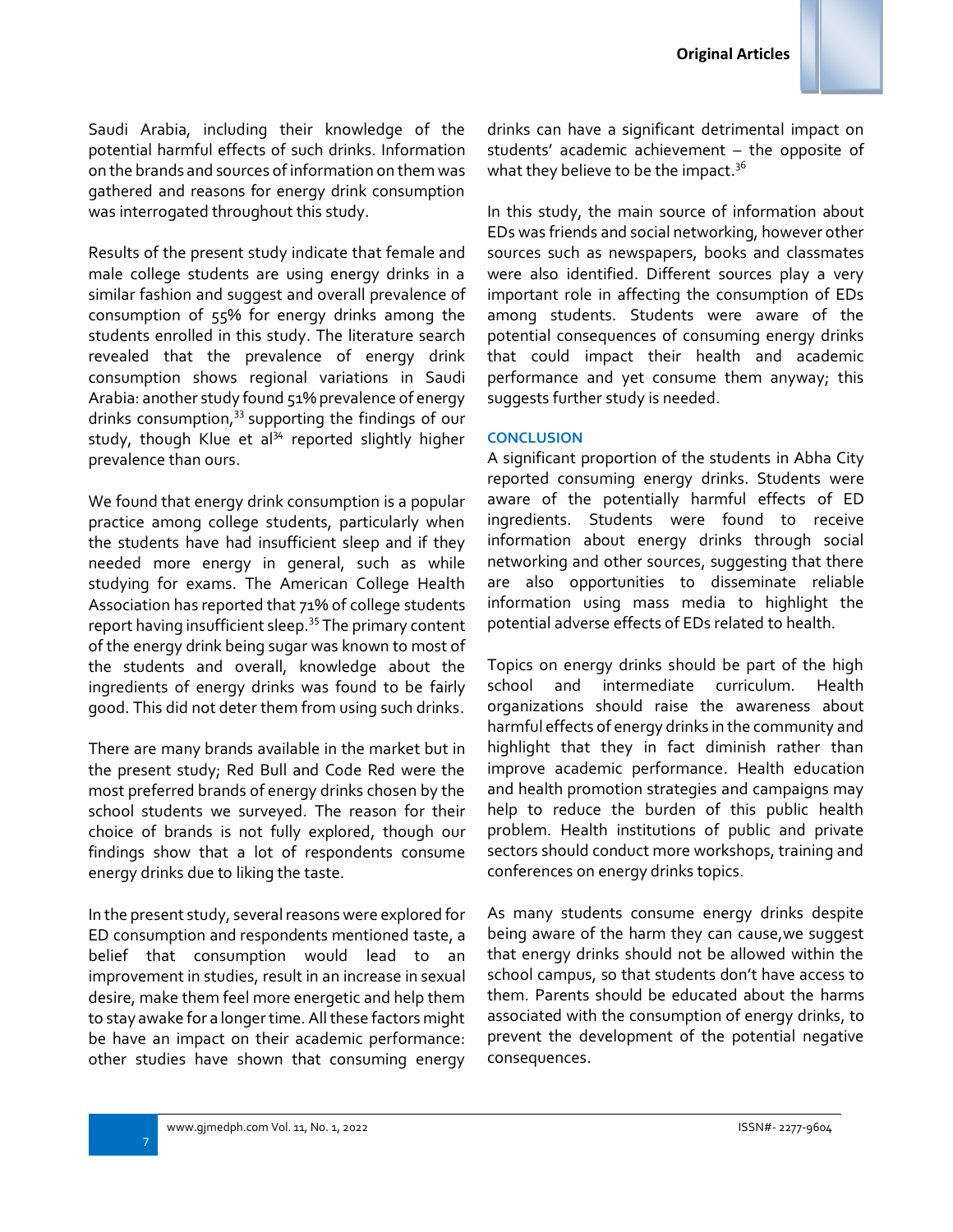Saudi Arabia, including their knowledge of the potential harmful effects of such drinks. Information on the brands and sources of information on them was gathered and reasons for energy drink consumption was interrogated throughout this study.

Results of the present study indicate that female and male college students are using energy drinks in a similar fashion and suggest and overall prevalence of consumption of 55% for energy drinks among the students enrolled in this study. The literature search revealed that the prevalence of energy drink consumption shows regional variations in Saudi Arabia: another study found 51% prevalence of energy drinks consumption,<sup>33</sup> supporting the findings of our study, though Klue et al $34$  reported slightly higher prevalence than ours.

We found that energy drink consumption is a popular practice among college students, particularly when the students have had insufficient sleep and if they needed more energy in general, such as while studying for exams. The American College Health Association has reported that 71% of college students report having insufficient sleep.<sup>35</sup> The primary content of the energy drink being sugar was known to most of the students and overall, knowledge about the ingredients of energy drinks was found to be fairly good. This did not deter them from using such drinks.

There are many brands available in the market but in the present study; Red Bull and Code Red were the most preferred brands of energy drinks chosen by the school students we surveyed. The reason for their choice of brands is not fully explored, though our findings show that a lot of respondents consume energy drinks due to liking the taste.

In the present study, several reasons were explored for ED consumption and respondents mentioned taste, a belief that consumption would lead to an improvement in studies, result in an increase in sexual desire, make them feel more energetic and help them to stay awake for a longer time. All these factors might be have an impact on their academic performance: other studies have shown that consuming energy drinks can have a significant detrimental impact on students' academic achievement – the opposite of what they believe to be the impact. $^{\rm 36}$ 

In this study, the main source of information about EDs was friends and social networking, however other sources such as newspapers, books and classmates were also identified. Different sources play a very important role in affecting the consumption of EDs among students. Students were aware of the potential consequences of consuming energy drinks that could impact their health and academic performance and yet consume them anyway; this suggests further study is needed.

### **CONCLUSION**

A significant proportion of the students in Abha City reported consuming energy drinks. Students were aware of the potentially harmful effects of ED ingredients. Students were found to receive information about energy drinks through social networking and other sources, suggesting that there are also opportunities to disseminate reliable information using mass media to highlight the potential adverse effects of EDs related to health.

Topics on energy drinks should be part of the high school and intermediate curriculum. Health organizations should raise the awareness about harmful effects of energy drinks in the community and highlight that they in fact diminish rather than improve academic performance. Health education and health promotion strategies and campaigns may help to reduce the burden of this public health problem. Health institutions of public and private sectors should conduct more workshops, training and conferences on energy drinks topics.

As many students consume energy drinks despite being aware of the harm they can cause,we suggest that energy drinks should not be allowed within the school campus, so that students don't have access to them. Parents should be educated about the harms associated with the consumption of energy drinks, to prevent the development of the potential negative consequences.